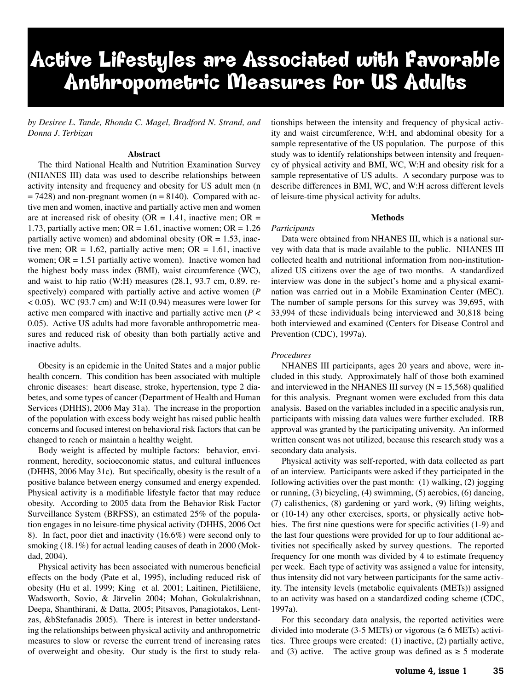# Active Lifestyles are Associated with Favorable Anthropometric Measures for US Adults

*by Desiree L. Tande, Rhonda C. Magel, Bradford N. Strand, and Donna J. Terbizan*

### **Abstract**

The third National Health and Nutrition Examination Survey (NHANES III) data was used to describe relationships between activity intensity and frequency and obesity for US adult men (n  $= 7428$ ) and non-pregnant women (n  $= 8140$ ). Compared with active men and women, inactive and partially active men and women are at increased risk of obesity ( $OR = 1.41$ , inactive men;  $OR =$ 1.73, partially active men;  $OR = 1.61$ , inactive women;  $OR = 1.26$ partially active women) and abdominal obesity ( $OR = 1.53$ , inactive men; OR = 1.62, partially active men; OR = 1.61, inactive women;  $OR = 1.51$  partially active women). Inactive women had the highest body mass index (BMI), waist circumference (WC), and waist to hip ratio (W:H) measures (28.1, 93.7 cm, 0.89. respectively) compared with partially active and active women (*P*  $< 0.05$ ). WC (93.7 cm) and W:H (0.94) measures were lower for active men compared with inactive and partially active men (*P* < 0.05). Active US adults had more favorable anthropometric measures and reduced risk of obesity than both partially active and inactive adults.

Obesity is an epidemic in the United States and a major public health concern. This condition has been associated with multiple chronic diseases: heart disease, stroke, hypertension, type 2 diabetes, and some types of cancer (Department of Health and Human Services (DHHS), 2006 May 31a). The increase in the proportion of the population with excess body weight has raised public health concerns and focused interest on behavioral risk factors that can be changed to reach or maintain a healthy weight.

Body weight is affected by multiple factors: behavior, environment, heredity, socioeconomic status, and cultural influences (DHHS, 2006 May 31c). But specifically, obesity is the result of a positive balance between energy consumed and energy expended. Physical activity is a modifiable lifestyle factor that may reduce obesity. According to 2005 data from the Behavior Risk Factor Surveillance System (BRFSS), an estimated 25% of the population engages in no leisure-time physical activity (DHHS, 2006 Oct 8). In fact, poor diet and inactivity (16.6%) were second only to smoking (18.1%) for actual leading causes of death in 2000 (Mokdad, 2004).

Physical activity has been associated with numerous beneficial effects on the body (Pate et al, 1995), including reduced risk of obesity (Hu et al. 1999; King et al. 2001; Laitinen, Pietiläiene, Wadsworth, Sovio, & Järvelin 2004; Mohan, Gokulakrishnan, Deepa, Shanthirani, & Datta, 2005; Pitsavos, Panagiotakos, Lentzas, &bStefanadis 2005). There is interest in better understanding the relationships between physical activity and anthropometric measures to slow or reverse the current trend of increasing rates of overweight and obesity. Our study is the first to study relationships between the intensity and frequency of physical activity and waist circumference, W:H, and abdominal obesity for a sample representative of the US population. The purpose of this study was to identify relationships between intensity and frequency of physical activity and BMI, WC, W:H and obesity risk for a sample representative of US adults. A secondary purpose was to describe differences in BMI, WC, and W:H across different levels of leisure-time physical activity for adults.

#### **Methods**

Data were obtained from NHANES III, which is a national survey with data that is made available to the public. NHANES III collected health and nutritional information from non-institutionalized US citizens over the age of two months. A standardized interview was done in the subject's home and a physical examination was carried out in a Mobile Examination Center (MEC). The number of sample persons for this survey was 39,695, with 33,994 of these individuals being interviewed and 30,818 being both interviewed and examined (Centers for Disease Control and Prevention (CDC), 1997a).

#### *Procedures*

*Participants*

NHANES III participants, ages 20 years and above, were included in this study. Approximately half of those both examined and interviewed in the NHANES III survey ( $N = 15,568$ ) qualified for this analysis. Pregnant women were excluded from this data analysis. Based on the variables included in a specific analysis run, participants with missing data values were further excluded. IRB approval was granted by the participating university. An informed written consent was not utilized, because this research study was a secondary data analysis.

Physical activity was self-reported, with data collected as part of an interview. Participants were asked if they participated in the following activities over the past month: (1) walking, (2) jogging or running, (3) bicycling, (4) swimming, (5) aerobics, (6) dancing, (7) calisthenics, (8) gardening or yard work, (9) lifting weights, or (10-14) any other exercises, sports, or physically active hobbies. The first nine questions were for specific activities (1-9) and the last four questions were provided for up to four additional activities not specifically asked by survey questions. The reported frequency for one month was divided by 4 to estimate frequency per week. Each type of activity was assigned a value for intensity, thus intensity did not vary between participants for the same activity. The intensity levels (metabolic equivalents (METs)) assigned to an activity was based on a standardized coding scheme (CDC, 1997a).

For this secondary data analysis, the reported activities were divided into moderate (3-5 METs) or vigorous ( $\geq 6$  METs) activities. Three groups were created: (1) inactive, (2) partially active, and (3) active. The active group was defined as  $\geq$  5 moderate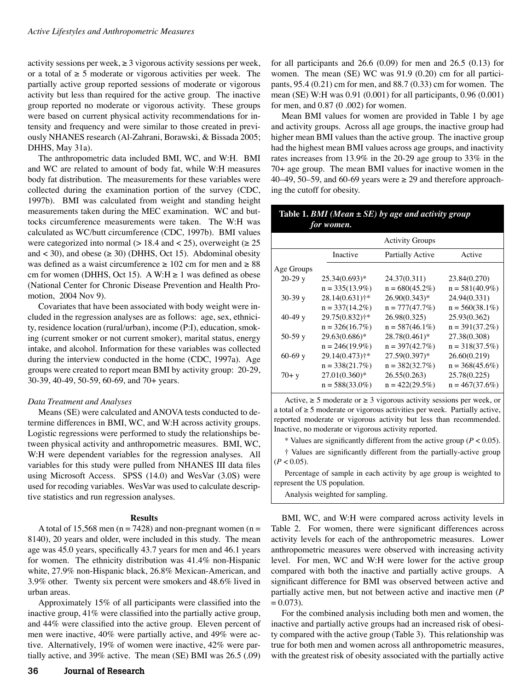activity sessions per week,  $\geq$  3 vigorous activity sessions per week, or a total of  $\geq$  5 moderate or vigorous activities per week. The partially active group reported sessions of moderate or vigorous activity but less than required for the active group. The inactive group reported no moderate or vigorous activity. These groups were based on current physical activity recommendations for intensity and frequency and were similar to those created in previously NHANES research (Al-Zahrani, Borawski, & Bissada 2005; DHHS, May 31a).

The anthropometric data included BMI, WC, and W:H. BMI and WC are related to amount of body fat, while W:H measures body fat distribution. The measurements for these variables were collected during the examination portion of the survey (CDC, 1997b). BMI was calculated from weight and standing height measurements taken during the MEC examination. WC and buttocks circumference measurements were taken. The W:H was calculated as WC/butt circumference (CDC, 1997b). BMI values were categorized into normal ( $> 18.4$  and  $< 25$ ), overweight ( $\ge 25$ ) and < 30), and obese ( $\geq$  30) (DHHS, Oct 15). Abdominal obesity was defined as a waist circumference  $\geq 102$  cm for men and  $\geq 88$ cm for women (DHHS, Oct 15). A W:H  $\geq$  1 was defined as obese (National Center for Chronic Disease Prevention and Health Promotion, 2004 Nov 9).

Covariates that have been associated with body weight were included in the regression analyses are as follows: age, sex, ethnicity, residence location (rural/urban), income (P:I), education, smoking (current smoker or not current smoker), marital status, energy intake, and alcohol. Information for these variables was collected during the interview conducted in the home (CDC, 1997a). Age groups were created to report mean BMI by activity group: 20-29, 30-39, 40-49, 50-59, 60-69, and 70+ years.

#### *Data Treatment and Analyses*

Means (SE) were calculated and ANOVA tests conducted to determine differences in BMI, WC, and W:H across activity groups. Logistic regressions were performed to study the relationships between physical activity and anthropometric measures. BMI, WC, W:H were dependent variables for the regression analyses. All variables for this study were pulled from NHANES III data files using Microsoft Access. SPSS (14.0) and WesVar (3.0S) were used for recoding variables. WesVar was used to calculate descriptive statistics and run regression analyses.

#### **Results**

A total of 15,568 men ( $n = 7428$ ) and non-pregnant women ( $n =$ 8140), 20 years and older, were included in this study. The mean age was 45.0 years, specifically 43.7 years for men and 46.1 years for women. The ethnicity distribution was 41.4% non-Hispanic white, 27.9% non-Hispanic black, 26.8% Mexican-American, and 3.9% other. Twenty six percent were smokers and 48.6% lived in urban areas.

Approximately 15% of all participants were classified into the inactive group, 41% were classified into the partially active group, and 44% were classified into the active group. Eleven percent of men were inactive, 40% were partially active, and 49% were active. Alternatively, 19% of women were inactive, 42% were partially active, and 39% active. The mean (SE) BMI was 26.5 (.09)

for all participants and  $26.6$  (0.09) for men and  $26.5$  (0.13) for women. The mean (SE) WC was 91.9 (0.20) cm for all participants, 95.4 (0.21) cm for men, and 88.7 (0.33) cm for women. The mean (SE) W:H was 0.91 (0.001) for all participants, 0.96 (0.001) for men, and 0.87 (0 .002) for women.

Mean BMI values for women are provided in Table 1 by age and activity groups. Across all age groups, the inactive group had higher mean BMI values than the active group. The inactive group had the highest mean BMI values across age groups, and inactivity rates increases from 13.9% in the 20-29 age group to 33% in the 70+ age group. The mean BMI values for inactive women in the 40–49, 50–59, and 60-69 years were  $\geq$  29 and therefore approaching the cutoff for obesity.

# **Table 1.** *BMI (Mean ± SE) by age and activity group for women.*

|            |                            | <b>Activity Groups</b>  |                   |
|------------|----------------------------|-------------------------|-------------------|
|            | Inactive                   | <b>Partially Active</b> | Active            |
| Age Groups |                            |                         |                   |
| $20-29y$   | $25.34(0.693)*$            | 24.37(0.311)            | 23.84(0.270)      |
|            | $n = 335(13.9\%)$          | $n = 680(45.2\%)$       | $n = 581(40.9\%)$ |
| $30-39y$   | $28.14(0.631)^{+*}$        | 26.90(0.343)*           | 24.94(0.331)      |
|            | $n = 337(14.2\%)$          | $n = 777(47.7%)$        | $n = 560(38.1\%)$ |
| $40-49$ y  | 29.75(0.832)†*             | 26.98(0.325)            | 25.93(0.362)      |
|            | $n = 326(16.7%)$           | $n = 587(46.1\%)$       | $n = 391(37.2\%)$ |
| $50-59y$   | 29.63(0.686)*              | 28.78(0.461)*           | 27.38(0.308)      |
|            | $n = 246(19.9\%)$          | $n = 397(42.7%)$        | $n = 318(37.5%)$  |
| $60-69y$   | 29.14(0.473) <sup>+*</sup> | 27.59(0.397)*           | 26.60(0.219)      |
|            | $n = 338(21.7%)$           | $n = 382(32.7%)$        | $n = 368(45.6\%)$ |
| $70 + y$   | $27.01(0.360)*$            | 26.55(0.263)            | 25.78(0.225)      |
|            | $n = 588(33.0\%)$          | $n = 422(29.5%)$        | $n = 467(37.6%)$  |

Active,  $\geq 5$  moderate or  $\geq 3$  vigorous activity sessions per week, or a total of  $\geq$  5 moderate or vigorous activities per week. Partially active, reported moderate or vigorous activity but less than recommended. Inactive, no moderate or vigorous activity reported.

\* Values are significantly different from the active group (*P* < 0.05).

† Values are significantly different from the partially-active group  $(P < 0.05)$ .

Percentage of sample in each activity by age group is weighted to represent the US population.

Analysis weighted for sampling.

BMI, WC, and W:H were compared across activity levels in Table 2. For women, there were significant differences across activity levels for each of the anthropometric measures. Lower anthropometric measures were observed with increasing activity level. For men, WC and W:H were lower for the active group compared with both the inactive and partially active groups. A significant difference for BMI was observed between active and partially active men, but not between active and inactive men (*P*  $= 0.073$ .

For the combined analysis including both men and women, the inactive and partially active groups had an increased risk of obesity compared with the active group (Table 3). This relationship was true for both men and women across all anthropometric measures, with the greatest risk of obesity associated with the partially active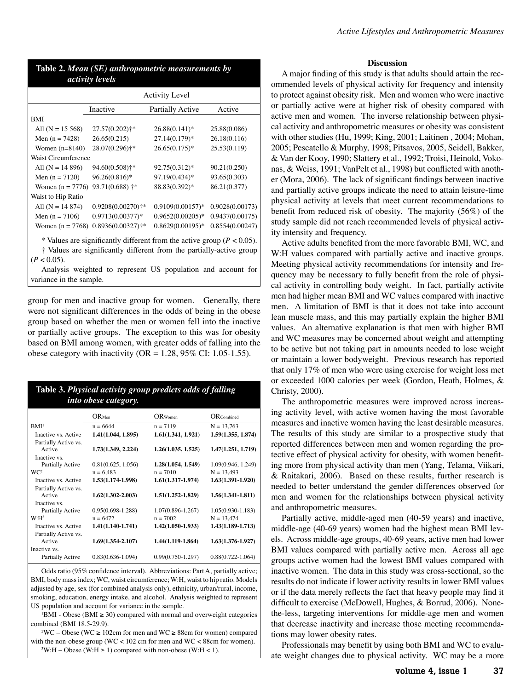| Active Lifestyles and Anthropometric Measures |  |  |  |
|-----------------------------------------------|--|--|--|
|-----------------------------------------------|--|--|--|

| Table 2. Mean (SE) anthropometric measurements by<br><i>activity levels</i> |                |                       |              |
|-----------------------------------------------------------------------------|----------------|-----------------------|--------------|
|                                                                             |                | <b>Activity Level</b> |              |
|                                                                             | Inactive       | Partially Active      | Active       |
| <b>BMI</b>                                                                  |                |                       |              |
| All $(N = 15 568)$                                                          | 27.57(0.202)+* | $26.88(0.141)^*$      | 25.88(0.086) |
| Men $(n = 7428)$                                                            | 26.65(0.215)   | $27.14(0.179)*$       | 26.18(0.116) |
| Women $(n=8140)$                                                            | 28.07(0.296)+* | $26.65(0.175)*$       | 25.53(0.119) |
| Waist Circumference                                                         |                |                       |              |
| All $(N = 14 896)$                                                          | 94.60(0.508)†* | 92.75(0.312)*         | 90.21(0.250) |
| Men $(n = 7120)$                                                            | 96.26(0.816)*  | 97.19(0.434)*         | 93.65(0.303) |

| Waist to Hip Ratio                                                             |                                       |                                      |  |
|--------------------------------------------------------------------------------|---------------------------------------|--------------------------------------|--|
| All $(N = 14 874)$                                                             | $0.9208(0.00270)$ <sup>+*</sup>       | $0.9109(0.00157)^*$ 0.9028(0.00173)  |  |
| Men $(n = 7106)$                                                               | $0.9713(0.00377)^*$                   | $0.9652(0.00205)*$ 0.9437(0.00175)   |  |
|                                                                                | Women (n = 7768) $0.8936(0.00327)$ †* | $0.8629(0.00195)*$ $0.8554(0.00247)$ |  |
| $*$ Values are significantly different from the esting aroun $(D \times 0.05)$ |                                       |                                      |  |

Women (n = 7776) 93.71(0.688)  $\ddagger^*$  88.83(0.392)\* 86.21(0.377)

\* Values are significantly different from the active group (*P* < 0.05). † Values are significantly different from the partially-active group  $(P < 0.05)$ .

Analysis weighted to represent US population and account for variance in the sample.

group for men and inactive group for women. Generally, there were not significant differences in the odds of being in the obese group based on whether the men or women fell into the inactive or partially active groups. The exception to this was for obesity based on BMI among women, with greater odds of falling into the obese category with inactivity (OR =  $1.28$ , 95% CI: 1.05-1.55).

| Table 3. Physical activity group predicts odds of falling<br><i>into obese category.</i> |                       |                       |  |
|------------------------------------------------------------------------------------------|-----------------------|-----------------------|--|
| $OR$ Men                                                                                 | $OR$ Women            | $OR$ Combined         |  |
| $n = 6644$                                                                               | $n = 7119$            | $N = 13,763$          |  |
| 1.41(1.044, 1.895)                                                                       | 1.61(1.341, 1.921)    | 1.59(1.355, 1.874)    |  |
|                                                                                          |                       |                       |  |
| 1.73(1.349, 2.224)                                                                       | 1.26(1.035, 1.525)    | 1.47(1.251, 1.719)    |  |
|                                                                                          |                       |                       |  |
|                                                                                          |                       | 1.09(0.946, 1.249)    |  |
| $n = 6.483$                                                                              | $n = 7010$            | $N = 13,493$          |  |
| 1.53(1.174-1.998)                                                                        | $1.61(1.317 - 1.974)$ | $1.63(1.391 - 1.920)$ |  |
|                                                                                          |                       |                       |  |
| $1.62(1.302 - 2.003)$                                                                    | $1.51(1.252 - 1.829)$ | $1.56(1.341 - 1.811)$ |  |
|                                                                                          |                       |                       |  |
| $0.95(0.698 - 1.288)$                                                                    | $1.07(0.896 - 1.267)$ | $1.05(0.930 - 1.183)$ |  |
| $n = 6472$                                                                               | $n = 7002$            | $N = 13,474$          |  |
| $1.41(1.140-1.741)$                                                                      | $1.42(1.050-1.933)$   | $1.43(1.189 - 1.713)$ |  |
|                                                                                          |                       |                       |  |
| $1.69(1.354 - 2.107)$                                                                    | 1.44(1.119-1.864)     | $1.63(1.376 - 1.927)$ |  |
|                                                                                          |                       |                       |  |
| $0.83(0.636 - 1.094)$                                                                    | $0.99(0.750 - 1.297)$ | $0.88(0.722 - 1.064)$ |  |
|                                                                                          | 0.81(0.625, 1.056)    | 1.28(1.054, 1.549)    |  |

Odds ratio (95% confidence interval). Abbreviations: Part A, partially active; BMI, body mass index; WC, waist circumference; W:H, waist to hip ratio. Models adjusted by age, sex (for combined analysis only), ethnicity, urban/rural, income, smoking, education, energy intake, and alcohol. Analysis weighted to represent US population and account for variance in the sample.

 $\text{1BMI}$  - Obese (BMI  $\geq$  30) compared with normal and overweight categories combined (BMI 18.5-29.9).

<sup>2</sup>WC – Obese (WC ≥ 102cm for men and WC ≥ 88cm for women) compared with the non-obese group ( $WC < 102$  cm for men and  $WC < 88$ cm for women).  $3W:H-Obese (W:H \ge 1)$  compared with non-obese (W:H < 1).

## **Discussion**

A major finding of this study is that adults should attain the recommended levels of physical activity for frequency and intensity to protect against obesity risk. Men and women who were inactive or partially active were at higher risk of obesity compared with active men and women. The inverse relationship between physical activity and anthropometric measures or obesity was consistent with other studies (Hu, 1999; King, 2001; Laitinen , 2004; Mohan, 2005; Pescatello & Murphy, 1998; Pitsavos, 2005, Seidell, Bakker, & Van der Kooy, 1990; Slattery et al., 1992; Troisi, Heinold, Vokonas, & Weiss, 1991; VanPelt et al., 1998) but conflicted with another (Mora, 2006). The lack of significant findings between inactive and partially active groups indicate the need to attain leisure-time physical activity at levels that meet current recommendations to benefit from reduced risk of obesity. The majority (56%) of the study sample did not reach recommended levels of physical activity intensity and frequency.

Active adults benefited from the more favorable BMI, WC, and W:H values compared with partially active and inactive groups. Meeting physical activity recommendations for intensity and frequency may be necessary to fully benefit from the role of physical activity in controlling body weight. In fact, partially activite men had higher mean BMI and WC values compared with inactive men. A limitation of BMI is that it does not take into account lean muscle mass, and this may partially explain the higher BMI values. An alternative explanation is that men with higher BMI and WC measures may be concerned about weight and attempting to be active but not taking part in amounts needed to lose weight or maintain a lower bodyweight. Previous research has reported that only 17% of men who were using exercise for weight loss met or exceeded 1000 calories per week (Gordon, Heath, Holmes, & Christy, 2000).

The anthropometric measures were improved across increasing activity level, with active women having the most favorable measures and inactive women having the least desirable measures. The results of this study are similar to a prospective study that reported differences between men and women regarding the protective effect of physical activity for obesity, with women benefiting more from physical activity than men (Yang, Telama, Viikari, & Raitakari, 2006). Based on these results, further research is needed to better understand the gender differences observed for men and women for the relationships between physical activity and anthropometric measures.

Partially active, middle-aged men (40-59 years) and inactive, middle-age (40-69 years) women had the highest mean BMI levels. Across middle-age groups, 40-69 years, active men had lower BMI values compared with partially active men. Across all age groups active women had the lowest BMI values compared with inactive women. The data in this study was cross-sectional, so the results do not indicate if lower activity results in lower BMI values or if the data merely reflects the fact that heavy people may find it difficult to exercise (McDowell, Hughes, & Borrud, 2006). Nonethe-less, targeting interventions for middle-age men and women that decrease inactivity and increase those meeting recommendations may lower obesity rates.

Professionals may benefit by using both BMI and WC to evaluate weight changes due to physical activity. WC may be a more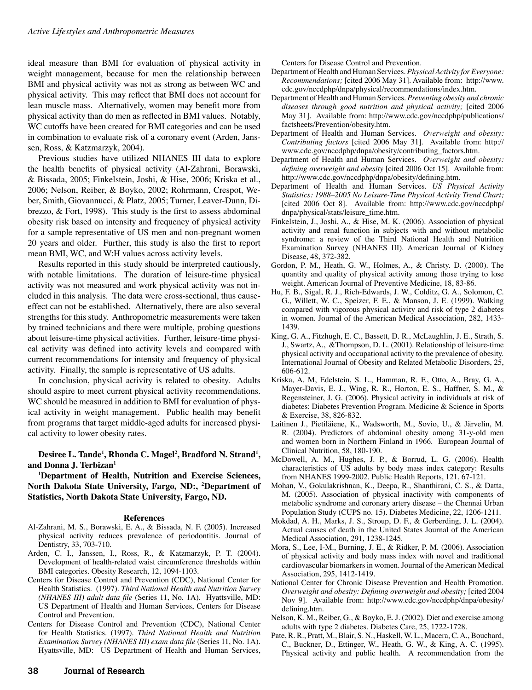ideal measure than BMI for evaluation of physical activity in weight management, because for men the relationship between BMI and physical activity was not as strong as between WC and physical activity. This may reflect that BMI does not account for lean muscle mass. Alternatively, women may benefit more from physical activity than do men as reflected in BMI values. Notably, WC cutoffs have been created for BMI categories and can be used in combination to evaluate risk of a coronary event (Arden, Janssen, Ross, & Katzmarzyk, 2004).

Previous studies have utilized NHANES III data to explore the health benefits of physical activity (Al-Zahrani, Borawski, & Bissada, 2005; Finkelstein, Joshi, & Hise, 2006; Kriska et al., 2006; Nelson, Reiber, & Boyko, 2002; Rohrmann, Crespot, Weber, Smith, Giovannucci, & Platz, 2005; Turner, Leaver-Dunn, Dibrezzo, & Fort, 1998). This study is the first to assess abdominal obesity risk based on intensity and frequency of physical activity for a sample representative of US men and non-pregnant women 20 years and older. Further, this study is also the first to report mean BMI, WC, and W:H values across activity levels.

Results reported in this study should be interpreted cautiously, with notable limitations. The duration of leisure-time physical activity was not measured and work physical activity was not included in this analysis. The data were cross-sectional, thus causeeffect can not be established. Alternatively, there are also several strengths for this study. Anthropometric measurements were taken by trained technicians and there were multiple, probing questions about leisure-time physical activities. Further, leisure-time physical activity was defined into activity levels and compared with current recommendations for intensity and frequency of physical activity. Finally, the sample is representative of US adults.

In conclusion, physical activity is related to obesity. Adults should aspire to meet current physical activity recommendations. WC should be measured in addition to BMI for evaluation of physical activity in weight management. Public health may benefit from programs that target middle-aged adults for increased physical activity to lower obesity rates.

Desiree L. Tande<sup>1</sup>, Rhonda C. Magel<sup>2</sup>, Bradford N. Strand<sup>1</sup>, **and Donna J. Terbizan1**

**1 Department of Health, Nutrition and Exercise Sciences, North Dakota State University, Fargo, ND:, 2 Department of Statistics, North Dakota State University, Fargo, ND.**

#### **References**

- Al-Zahrani, M. S., Borawski, E. A., & Bissada, N. F. (2005). Increased physical activity reduces prevalence of periodontitis. Journal of Dentistry, 33, 703-710.
- Arden, C. I., Janssen, I., Ross, R., & Katzmarzyk, P. T. (2004). Development of health-related waist circumference thresholds within BMI categories. Obesity Research, 12, 1094-1103.
- Centers for Disease Control and Prevention (CDC), National Center for Health Statistics. (1997). *Third National Health and Nutrition Survey (NHANES III) adult data file* (Series 11, No. 1A). Hyattsville, MD: US Department of Health and Human Services, Centers for Disease Control and Prevention.
- Centers for Disease Control and Prevention (CDC), National Center for Health Statistics. (1997). *Third National Health and Nutrition Examination Survey (NHANES III) exam data file* (Series 11, No. 1A). Hyattsville, MD: US Department of Health and Human Services,

Centers for Disease Control and Prevention.

- Department of Health and Human Services. *Physical Activity for Everyone: Recommendations;* [cited 2006 May 31]. Available from: http://www. cdc.gov/nccdphp/dnpa/physical/recommendations/index.htm.
- Department of Health and Human Services. *Preventing obesity and chronic diseases through good nutrition and physical activity;* [cited 2006 May 31]. Available from: http://www.cdc.gov/nccdphp/publications/ factsheets/Prevention/obesity.htm.
- Department of Health and Human Services. *Overweight and obesity: Contributing factors* [cited 2006 May 31]. Available from: http:// www.cdc.gov/nccdphp/dnpa/obesity/contributing\_factors.htm.
- Department of Health and Human Services. *Overweight and obesity: defining overweight and obesity* [cited 2006 Oct 15]. Available from: http://www.cdc.gov/nccdphp/dnpa/obesity/defining.htm.
- Department of Health and Human Services. *US Physical Activity Statistics: 1988–2005 No Leisure-Time Physical Activity Trend Chart;* [cited 2006 Oct 8]. Available from: http://www.cdc.gov/nccdphp/ dnpa/physical/stats/leisure\_time.htm.
- Finkelstein, J., Joshi, A., & Hise, M. K. (2006). Association of physical activity and renal function in subjects with and without metabolic syndrome: a review of the Third National Health and Nutrition Examination Survey (NHANES III). American Journal of Kidney Disease, 48, 372-382.
- Gordon, P. M., Heath, G. W., Holmes, A., & Christy. D. (2000). The quantity and quality of physical activity among those trying to lose weight. American Journal of Preventive Medicine, 18, 83-86.
- Hu, F. B., Sigal, R. J., Rich-Edwards, J. W., Colditz, G. A., Solomon, C. G., Willett, W. C., Speizer, F. E., & Manson, J. E. (1999). Walking compared with vigorous physical activity and risk of type 2 diabetes in women. Journal of the American Medical Association, 282, 1433- 1439.
- King, G. A., Fitzhugh, E. C., Bassett, D. R., McLaughlin, J. E., Strath, S. J., Swartz, A., &Thompson, D. L. (2001). Relationship of leisure-time physical activity and occupational activity to the prevalence of obesity. International Journal of Obesity and Related Metabolic Disorders, 25, 606-612.
- Kriska, A. M, Edelstein, S. L., Hamman, R. F., Otto, A., Bray, G. A., Mayer-Davis, E. J., Wing, R. R., Horton, E. S., Haffner, S. M., & Regensteiner, J. G. (2006). Physical activity in individuals at risk of diabetes: Diabetes Prevention Program. Medicine & Science in Sports & Exercise, 38, 826-832.
- Laitinen J., Pietiläiene, K., Wadsworth, M., Sovio, U., & Järvelin, M. R. (2004). Predictors of abdominal obesity among 31-y-old men and women born in Northern Finland in 1966. European Journal of Clinical Nutrition, 58, 180-190.
- McDowell, A. M., Hughes, J. P., & Borrud, L. G. (2006). Health characteristics of US adults by body mass index category: Results from NHANES 1999-2002. Public Health Reports, 121, 67-121.
- Mohan, V., Gokulakrishnan, K., Deepa, R., Shanthirani, C. S., & Datta, M. (2005). Association of physical inactivity with components of metabolic syndrome and coronary artery disease – the Chennai Urban Population Study (CUPS no. 15). Diabetes Medicine, 22, 1206-1211.
- Mokdad, A. H., Marks, J. S., Stroup, D. F., & Gerberding, J. L. (2004). Actual causes of death in the United States Journal of the American Medical Association, 291, 1238-1245.
- Mora, S., Lee, I-M., Burning, J. E., & Ridker, P. M. (2006). Association of physical activity and body mass index with novel and traditional cardiovascular biomarkers in women. Journal of the American Medical Association, 295, 1412-1419.
- National Center for Chronic Disease Prevention and Health Promotion. *Overweight and obesity: Defining overweight and obesity;* [cited 2004 Nov 9]. Available from: http://www.cdc.gov/nccdphp/dnpa/obesity/ defining.htm.
- Nelson, K. M., Reiber, G., & Boyko, E. J. (2002). Diet and exercise among adults with type 2 diabetes. Diabetes Care, 25, 1722-1728.
- Pate, R. R., Pratt, M., Blair, S. N., Haskell, W. L., Macera, C. A., Bouchard, C., Buckner, D., Ettinger, W., Heath, G. W., & King, A. C. (1995). Physical activity and public health. A recommendation from the